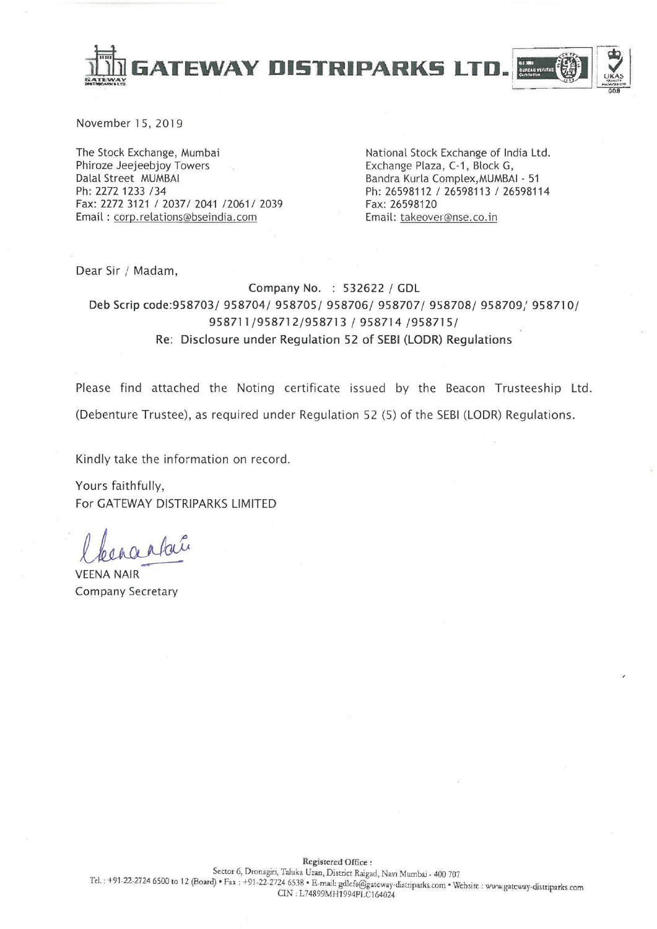

November 15, 2019

The Stock Exchange, Mumbai Phiroze Jeejeebjoy Towers Dalal Street MUMBAI Ph: 2272 1233 /34 Fax: 2272 3121 / 2037/ 2041 /2061/ 2039 Email: corp.relations@bseindia.com

National Stock Exchange of India Ltd. Exchange Plaza, C-1, Block G, Bandra Kurla Complex, MUMBAI - 51 Ph: 26598112 / 26598113 / 26598114 Fax: 26598120 Email: takeover@nse.co.in

Dear Sir / Madam,

Company No. : 532622 / GDL Deb Scrip code:958703/ 958704/ 958705/ 958706/ 958707/ 958708/ 958709/ 958710/ 958711/958712/958713 / 958714 /958715/ Re: Disclosure under Regulation 52 of SEBI (LODR) Regulations

Please find attached the Noting certificate issued by the Beacon Trusteeship Ltd. (Debenture Trustee), as required under Regulation 52 (5) of the SEBI (LODR) Regulations.

Kindly take the information on record.

Yours faithfully, For GATEWAY DISTRIPARKS LIMITED

**VEENA NAIR Company Secretary**